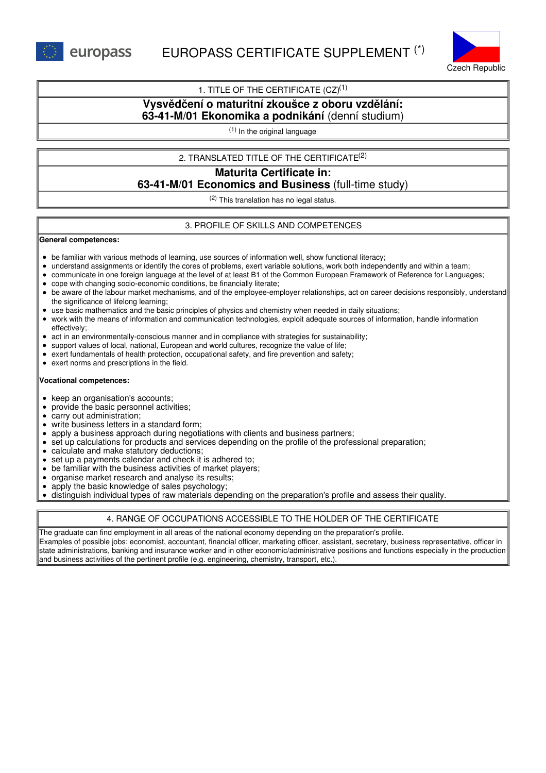europass



## 1. TITLE OF THE CERTIFICATE  $(CZ)^{(1)}$

# **Vysvědčení o maturitní zkoušce z oboru vzdělání: 63-41-M/01 Ekonomika a podnikání** (denní studium)

(1) In the original language

### 2. TRANSLATED TITLE OF THE CERTIFICATE (2)

# **Maturita Certificate in: 63-41-M/01 Economics and Business** (full-time study)

(2) This translation has no legal status.

#### 3. PROFILE OF SKILLS AND COMPETENCES

#### **General competences:**

- be familiar with various methods of learning, use sources of information well, show functional literacy;
- understand assignments or identify the cores of problems, exert variable solutions, work both independently and within a team;
- communicate in one foreign language at the level of at least B1 of the Common European Framework of Reference for Languages;
- cope with changing socio-economic conditions, be financially literate;
- be aware of the labour market mechanisms, and of the employee-employer relationships, act on career decisions responsibly, understand the significance of lifelong learning;
- use basic mathematics and the basic principles of physics and chemistry when needed in daily situations;
- work with the means of information and communication technologies, exploit adequate sources of information, handle information effectively;
- act in an environmentally-conscious manner and in compliance with strategies for sustainability;  $\bullet$
- support values of local, national, European and world cultures, recognize the value of life;
- exert fundamentals of health protection, occupational safety, and fire prevention and safety;
- exert norms and prescriptions in the field.

#### **Vocational competences:**

- keep an organisation's accounts;
- provide the basic personnel activities;
- carry out administration;
- write business letters in a standard form;
- apply a business approach during negotiations with clients and business partners;
- set up calculations for products and services depending on the profile of the professional preparation;
- calculate and make statutory deductions:
- set up a payments calendar and check it is adhered to;
- be familiar with the business activities of market players;  $\bullet$
- organise market research and analyse its results;
- apply the basic knowledge of sales psychology;
- distinguish individual types of raw materials depending on the preparation's profile and assess their quality.

### 4. RANGE OF OCCUPATIONS ACCESSIBLE TO THE HOLDER OF THE CERTIFICATE

The graduate can find employment in all areas of the national economy depending on the preparation's profile. Examples of possible jobs: economist, accountant, financial officer, marketing officer, assistant, secretary, business representative, officer in state administrations, banking and insurance worker and in other economic/administrative positions and functions especially in the production and business activities of the pertinent profile (e.g. engineering, chemistry, transport, etc.).